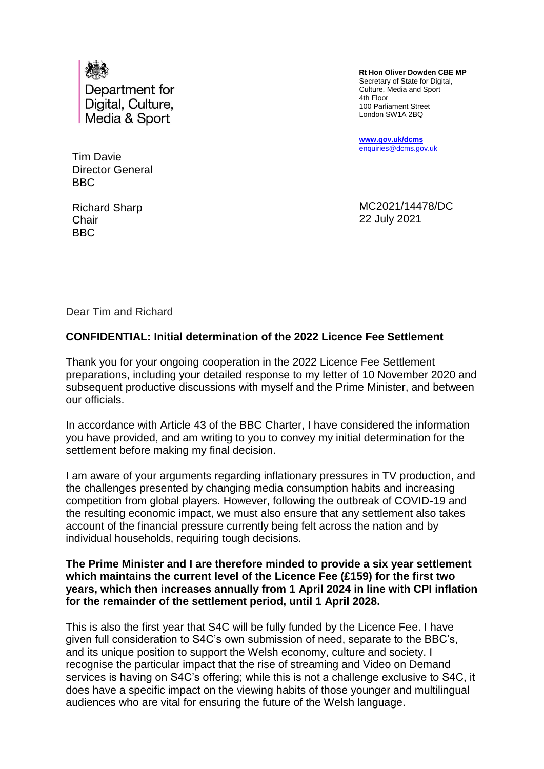

Tim Davie Director General BBC

Richard Sharp **Chair** BBC

 **Rt Hon Oliver Dowden CBE MP** Secretary of State for Digital, Culture, Media and Sport 4th Floor 100 Parliament Street London SW1A 2BQ

**[www.gov.uk/dcms](http://www.gov.uk/dcms)** [enquiries@dcms.gov.uk](mailto:enquiries@dcms.gov.uk)

MC2021/14478/DC 22 July 2021

Dear Tim and Richard

## **CONFIDENTIAL: Initial determination of the 2022 Licence Fee Settlement**

Thank you for your ongoing cooperation in the 2022 Licence Fee Settlement preparations, including your detailed response to my letter of 10 November 2020 and subsequent productive discussions with myself and the Prime Minister, and between our officials.

In accordance with Article 43 of the BBC Charter, I have considered the information you have provided, and am writing to you to convey my initial determination for the settlement before making my final decision.

I am aware of your arguments regarding inflationary pressures in TV production, and the challenges presented by changing media consumption habits and increasing competition from global players. However, following the outbreak of COVID-19 and the resulting economic impact, we must also ensure that any settlement also takes account of the financial pressure currently being felt across the nation and by individual households, requiring tough decisions.

## **The Prime Minister and I are therefore minded to provide a six year settlement which maintains the current level of the Licence Fee (£159) for the first two years, which then increases annually from 1 April 2024 in line with CPI inflation for the remainder of the settlement period, until 1 April 2028.**

This is also the first year that S4C will be fully funded by the Licence Fee. I have given full consideration to S4C's own submission of need, separate to the BBC's, and its unique position to support the Welsh economy, culture and society. I recognise the particular impact that the rise of streaming and Video on Demand services is having on S4C's offering; while this is not a challenge exclusive to S4C, it does have a specific impact on the viewing habits of those younger and multilingual audiences who are vital for ensuring the future of the Welsh language.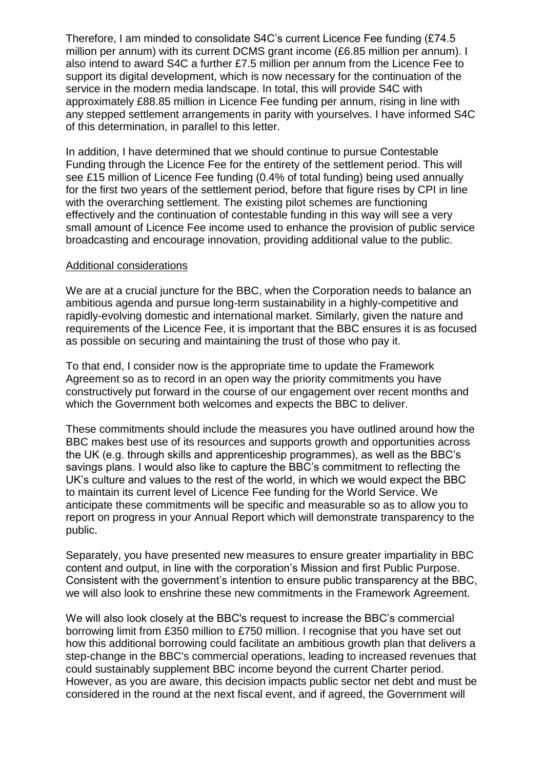Therefore, I am minded to consolidate S4C's current Licence Fee funding (£74.5 million per annum) with its current DCMS grant income (£6.85 million per annum). I also intend to award S4C a further £7.5 million per annum from the Licence Fee to support its digital development, which is now necessary for the continuation of the service in the modern media landscape. In total, this will provide S4C with approximately £88.85 million in Licence Fee funding per annum, rising in line with any stepped settlement arrangements in parity with yourselves. I have informed S4C of this determination, in parallel to this letter.

In addition, I have determined that we should continue to pursue Contestable Funding through the Licence Fee for the entirety of the settlement period. This will see £15 million of Licence Fee funding (0.4% of total funding) being used annually for the first two years of the settlement period, before that figure rises by CPI in line with the overarching settlement. The existing pilot schemes are functioning effectively and the continuation of contestable funding in this way will see a very small amount of Licence Fee income used to enhance the provision of public service broadcasting and encourage innovation, providing additional value to the public.

## Additional considerations

We are at a crucial juncture for the BBC, when the Corporation needs to balance an ambitious agenda and pursue long-term sustainability in a highly-competitive and rapidly-evolving domestic and international market. Similarly, given the nature and requirements of the Licence Fee, it is important that the BBC ensures it is as focused as possible on securing and maintaining the trust of those who pay it.

To that end, I consider now is the appropriate time to update the Framework Agreement so as to record in an open way the priority commitments you have constructively put forward in the course of our engagement over recent months and which the Government both welcomes and expects the BBC to deliver.

These commitments should include the measures you have outlined around how the BBC makes best use of its resources and supports growth and opportunities across the UK (e.g. through skills and apprenticeship programmes), as well as the BBC's savings plans. I would also like to capture the BBC's commitment to reflecting the UK's culture and values to the rest of the world, in which we would expect the BBC to maintain its current level of Licence Fee funding for the World Service. We anticipate these commitments will be specific and measurable so as to allow you to report on progress in your Annual Report which will demonstrate transparency to the public.

Separately, you have presented new measures to ensure greater impartiality in BBC content and output, in line with the corporation's Mission and first Public Purpose. Consistent with the government's intention to ensure public transparency at the BBC, we will also look to enshrine these new commitments in the Framework Agreement.

We will also look closely at the BBC's request to increase the BBC's commercial borrowing limit from £350 million to £750 million. I recognise that you have set out how this additional borrowing could facilitate an ambitious growth plan that delivers a step-change in the BBC's commercial operations, leading to increased revenues that could sustainably supplement BBC income beyond the current Charter period. However, as you are aware, this decision impacts public sector net debt and must be considered in the round at the next fiscal event, and if agreed, the Government will